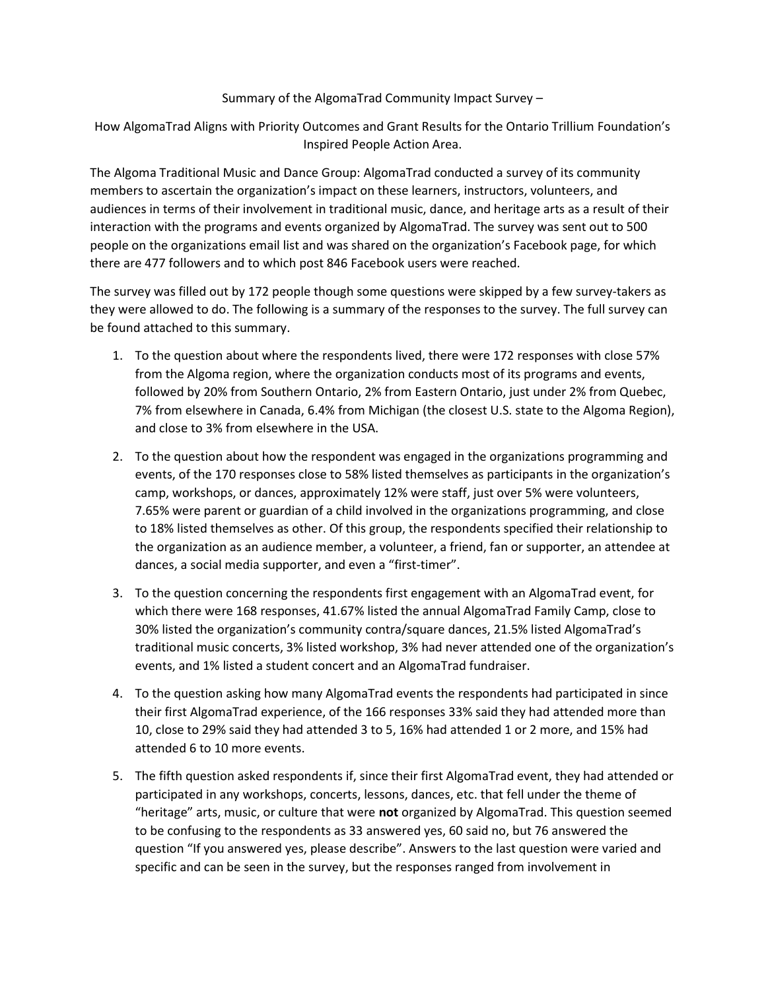### Summary of the AlgomaTrad Community Impact Survey –

How AlgomaTrad Aligns with Priority Outcomes and Grant Results for the Ontario Trillium Foundation's Inspired People Action Area.

The Algoma Traditional Music and Dance Group: AlgomaTrad conducted a survey of its community members to ascertain the organization's impact on these learners, instructors, volunteers, and audiences in terms of their involvement in traditional music, dance, and heritage arts as a result of their interaction with the programs and events organized by AlgomaTrad. The survey was sent out to 500 people on the organizations email list and was shared on the organization's Facebook page, for which there are 477 followers and to which post 846 Facebook users were reached.

The survey was filled out by 172 people though some questions were skipped by a few survey-takers as they were allowed to do. The following is a summary of the responses to the survey. The full survey can be found attached to this summary.

- 1. To the question about where the respondents lived, there were 172 responses with close 57% from the Algoma region, where the organization conducts most of its programs and events, followed by 20% from Southern Ontario, 2% from Eastern Ontario, just under 2% from Quebec, 7% from elsewhere in Canada, 6.4% from Michigan (the closest U.S. state to the Algoma Region), and close to 3% from elsewhere in the USA.
- 2. To the question about how the respondent was engaged in the organizations programming and events, of the 170 responses close to 58% listed themselves as participants in the organization's camp, workshops, or dances, approximately 12% were staff, just over 5% were volunteers, 7.65% were parent or guardian of a child involved in the organizations programming, and close to 18% listed themselves as other. Of this group, the respondents specified their relationship to the organization as an audience member, a volunteer, a friend, fan or supporter, an attendee at dances, a social media supporter, and even a "first-timer".
- 3. To the question concerning the respondents first engagement with an AlgomaTrad event, for which there were 168 responses, 41.67% listed the annual AlgomaTrad Family Camp, close to 30% listed the organization's community contra/square dances, 21.5% listed AlgomaTrad's traditional music concerts, 3% listed workshop, 3% had never attended one of the organization's events, and 1% listed a student concert and an AlgomaTrad fundraiser.
- 4. To the question asking how many AlgomaTrad events the respondents had participated in since their first AlgomaTrad experience, of the 166 responses 33% said they had attended more than 10, close to 29% said they had attended 3 to 5, 16% had attended 1 or 2 more, and 15% had attended 6 to 10 more events.
- 5. The fifth question asked respondents if, since their first AlgomaTrad event, they had attended or participated in any workshops, concerts, lessons, dances, etc. that fell under the theme of "heritage" arts, music, or culture that were not organized by AlgomaTrad. This question seemed to be confusing to the respondents as 33 answered yes, 60 said no, but 76 answered the question "If you answered yes, please describe". Answers to the last question were varied and specific and can be seen in the survey, but the responses ranged from involvement in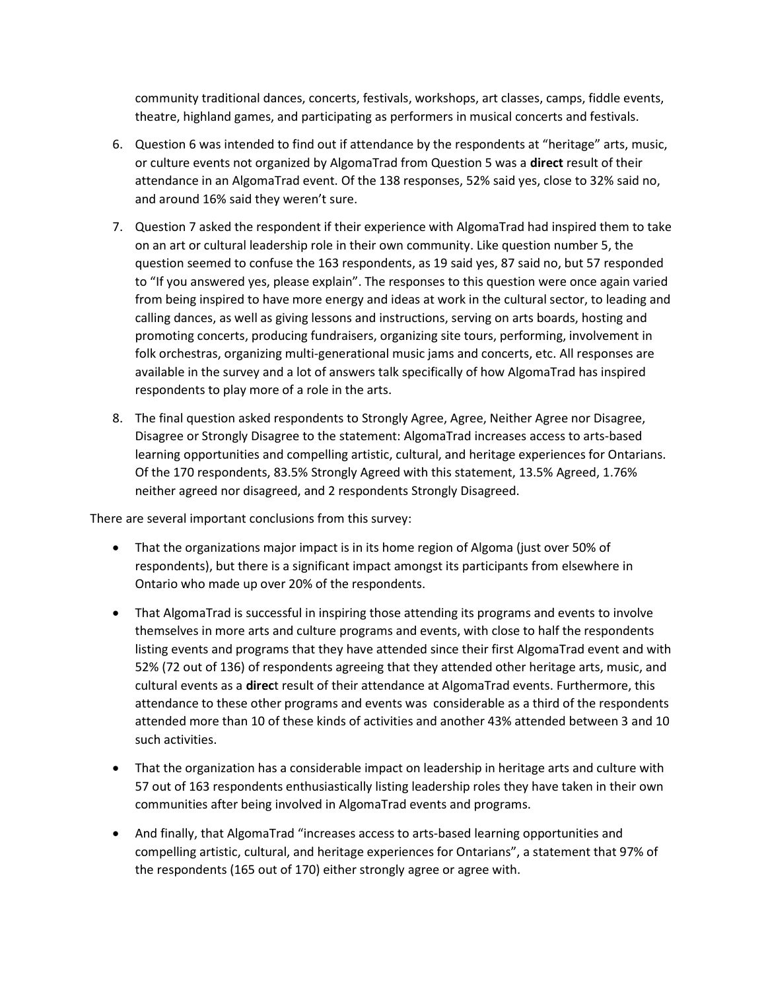community traditional dances, concerts, festivals, workshops, art classes, camps, fiddle events, theatre, highland games, and participating as performers in musical concerts and festivals.

- 6. Question 6 was intended to find out if attendance by the respondents at "heritage" arts, music, or culture events not organized by AlgomaTrad from Question 5 was a **direct** result of their attendance in an AlgomaTrad event. Of the 138 responses, 52% said yes, close to 32% said no, and around 16% said they weren't sure.
- 7. Question 7 asked the respondent if their experience with AlgomaTrad had inspired them to take on an art or cultural leadership role in their own community. Like question number 5, the question seemed to confuse the 163 respondents, as 19 said yes, 87 said no, but 57 responded to "If you answered yes, please explain". The responses to this question were once again varied from being inspired to have more energy and ideas at work in the cultural sector, to leading and calling dances, as well as giving lessons and instructions, serving on arts boards, hosting and promoting concerts, producing fundraisers, organizing site tours, performing, involvement in folk orchestras, organizing multi-generational music jams and concerts, etc. All responses are available in the survey and a lot of answers talk specifically of how AlgomaTrad has inspired respondents to play more of a role in the arts.
- 8. The final question asked respondents to Strongly Agree, Agree, Neither Agree nor Disagree, Disagree or Strongly Disagree to the statement: AlgomaTrad increases access to arts-based learning opportunities and compelling artistic, cultural, and heritage experiences for Ontarians. Of the 170 respondents, 83.5% Strongly Agreed with this statement, 13.5% Agreed, 1.76% neither agreed nor disagreed, and 2 respondents Strongly Disagreed.

There are several important conclusions from this survey:

- That the organizations major impact is in its home region of Algoma (just over 50% of respondents), but there is a significant impact amongst its participants from elsewhere in Ontario who made up over 20% of the respondents.
- That AlgomaTrad is successful in inspiring those attending its programs and events to involve themselves in more arts and culture programs and events, with close to half the respondents listing events and programs that they have attended since their first AlgomaTrad event and with 52% (72 out of 136) of respondents agreeing that they attended other heritage arts, music, and cultural events as a direct result of their attendance at AlgomaTrad events. Furthermore, this attendance to these other programs and events was considerable as a third of the respondents attended more than 10 of these kinds of activities and another 43% attended between 3 and 10 such activities.
- That the organization has a considerable impact on leadership in heritage arts and culture with 57 out of 163 respondents enthusiastically listing leadership roles they have taken in their own communities after being involved in AlgomaTrad events and programs.
- And finally, that AlgomaTrad "increases access to arts-based learning opportunities and compelling artistic, cultural, and heritage experiences for Ontarians", a statement that 97% of the respondents (165 out of 170) either strongly agree or agree with.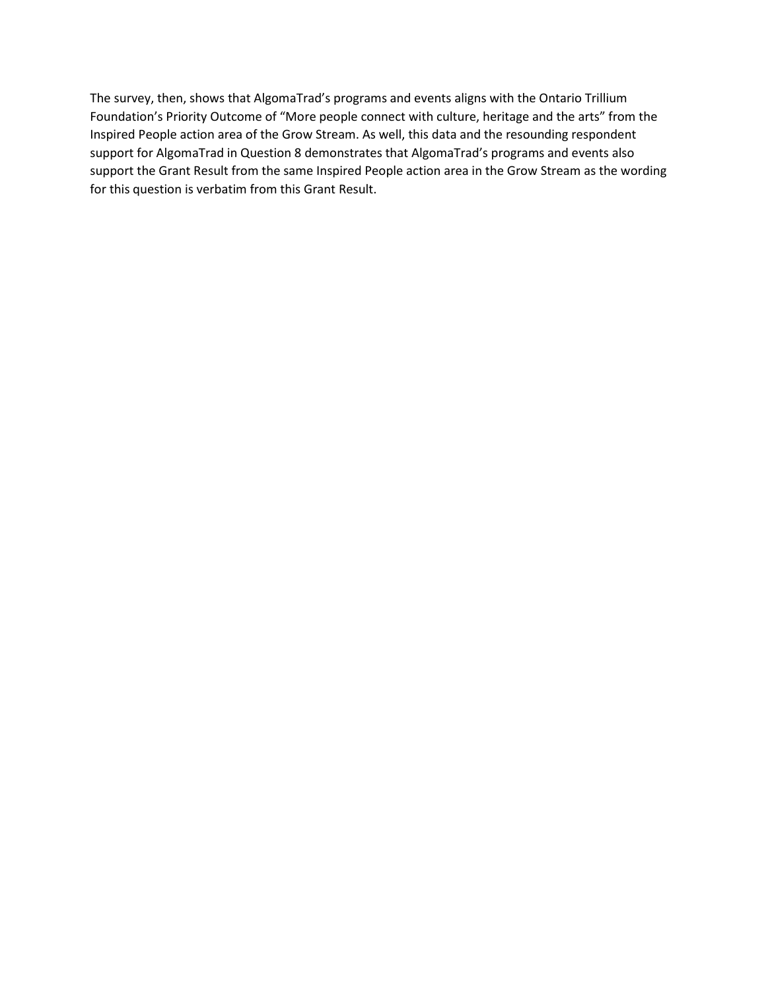The survey, then, shows that AlgomaTrad's programs and events aligns with the Ontario Trillium Foundation's Priority Outcome of "More people connect with culture, heritage and the arts" from the Inspired People action area of the Grow Stream. As well, this data and the resounding respondent support for AlgomaTrad in Question 8 demonstrates that AlgomaTrad's programs and events also support the Grant Result from the same Inspired People action area in the Grow Stream as the wording for this question is verbatim from this Grant Result.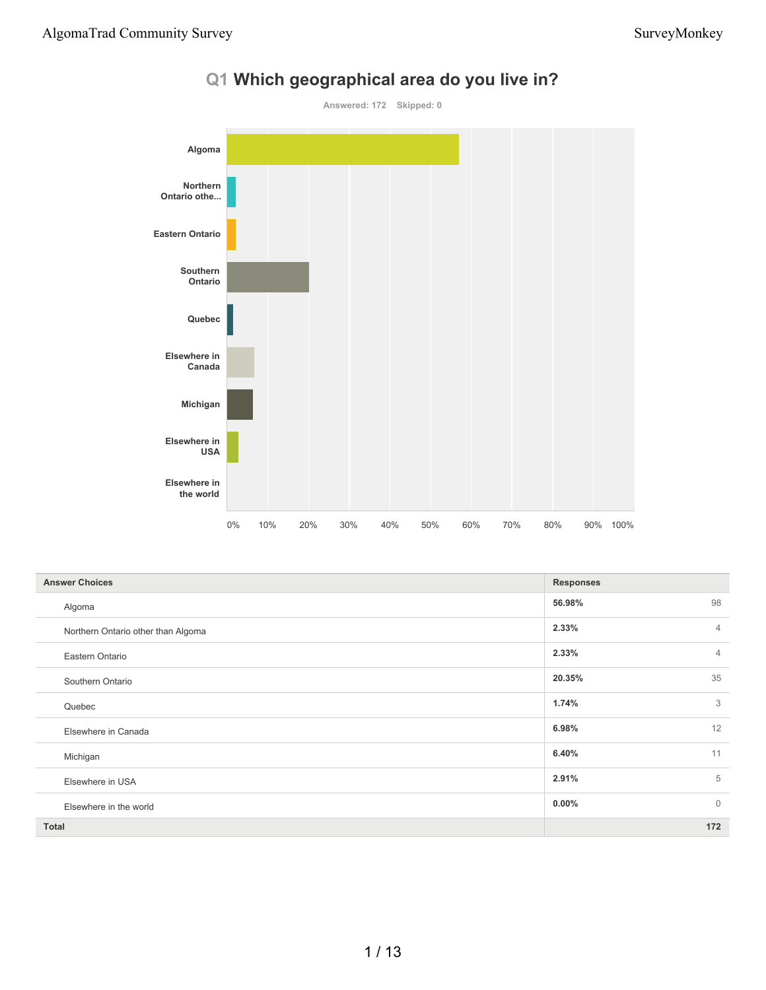

# **Q1 Which geographical area do you live in?**

| <b>Answer Choices</b>              | <b>Responses</b>         |
|------------------------------------|--------------------------|
| Algoma                             | 56.98%<br>98             |
| Northern Ontario other than Algoma | 2.33%<br>$\overline{4}$  |
| Eastern Ontario                    | 2.33%<br>$\overline{4}$  |
| Southern Ontario                   | 35<br>20.35%             |
| Quebec                             | 3<br>1.74%               |
| Elsewhere in Canada                | 12<br>6.98%              |
| Michigan                           | 11<br>6.40%              |
| Elsewhere in USA                   | 5<br>2.91%               |
| Elsewhere in the world             | $\mathbf{0}$<br>$0.00\%$ |
| Total                              | 172                      |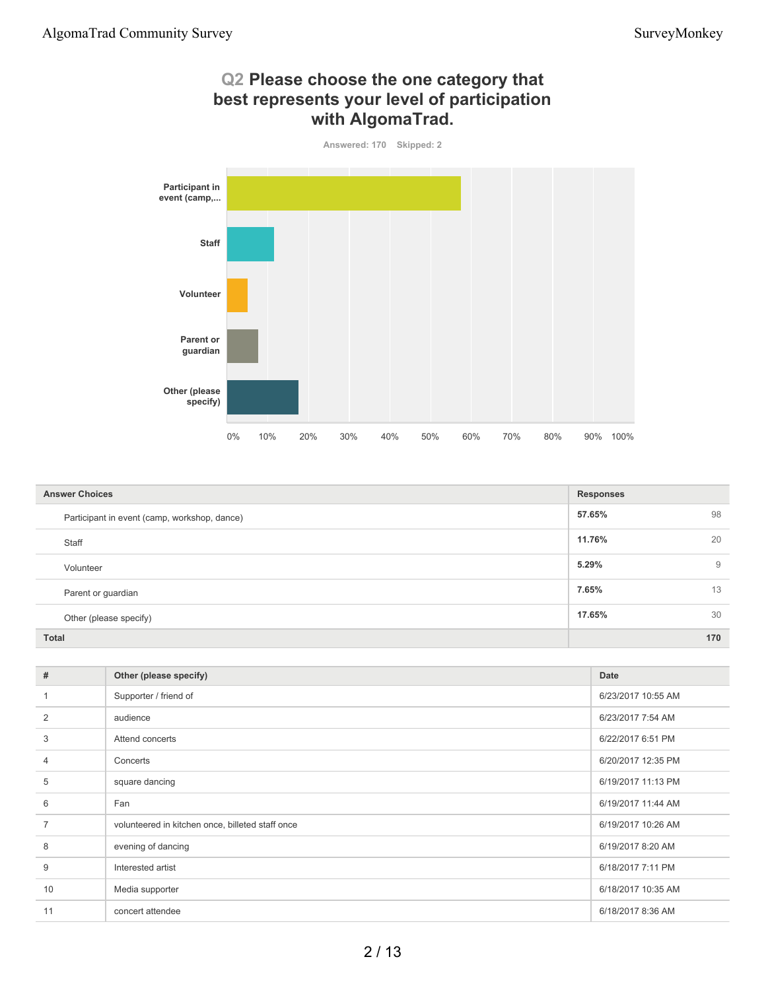### **Q2 Please choose the one category that best represents your level of participation with AlgomaTrad.**



| <b>Answer Choices</b>                        | <b>Responses</b> |
|----------------------------------------------|------------------|
| Participant in event (camp, workshop, dance) | 98<br>57.65%     |
| Staff                                        | 11.76%<br>20     |
| Volunteer                                    | 5.29%<br>9       |
| Parent or guardian                           | 7.65%<br>13      |
| Other (please specify)                       | 17.65%<br>30     |
| <b>Total</b>                                 | 170              |

| #              | Other (please specify)                           | Date               |
|----------------|--------------------------------------------------|--------------------|
|                | Supporter / friend of                            | 6/23/2017 10:55 AM |
| 2              | audience                                         | 6/23/2017 7:54 AM  |
| 3              | Attend concerts                                  | 6/22/2017 6:51 PM  |
| $\overline{4}$ | Concerts                                         | 6/20/2017 12:35 PM |
| 5              | square dancing                                   | 6/19/2017 11:13 PM |
| 6              | Fan                                              | 6/19/2017 11:44 AM |
| $\overline{7}$ | volunteered in kitchen once, billeted staff once | 6/19/2017 10:26 AM |
| 8              | evening of dancing                               | 6/19/2017 8:20 AM  |
| 9              | Interested artist                                | 6/18/2017 7:11 PM  |
| 10             | Media supporter                                  | 6/18/2017 10:35 AM |
| 11             | concert attendee                                 | 6/18/2017 8:36 AM  |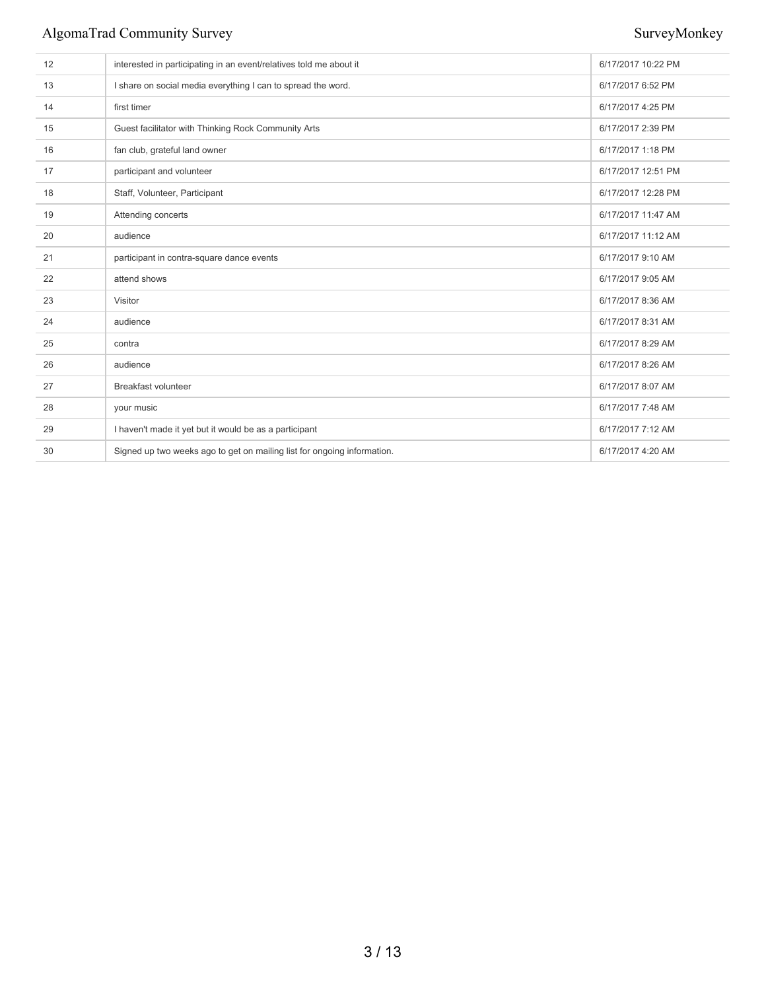| 12 | interested in participating in an event/relatives told me about it      | 6/17/2017 10:22 PM |
|----|-------------------------------------------------------------------------|--------------------|
| 13 | I share on social media everything I can to spread the word.            | 6/17/2017 6:52 PM  |
| 14 | first timer                                                             | 6/17/2017 4:25 PM  |
| 15 | Guest facilitator with Thinking Rock Community Arts                     | 6/17/2017 2:39 PM  |
| 16 | fan club, grateful land owner                                           | 6/17/2017 1:18 PM  |
| 17 | participant and volunteer                                               | 6/17/2017 12:51 PM |
| 18 | Staff, Volunteer, Participant                                           | 6/17/2017 12:28 PM |
| 19 | Attending concerts                                                      | 6/17/2017 11:47 AM |
| 20 | audience                                                                | 6/17/2017 11:12 AM |
| 21 | participant in contra-square dance events                               | 6/17/2017 9:10 AM  |
| 22 | attend shows                                                            | 6/17/2017 9:05 AM  |
| 23 | Visitor                                                                 | 6/17/2017 8:36 AM  |
| 24 | audience                                                                | 6/17/2017 8:31 AM  |
| 25 | contra                                                                  | 6/17/2017 8:29 AM  |
| 26 | audience                                                                | 6/17/2017 8:26 AM  |
| 27 | <b>Breakfast volunteer</b>                                              | 6/17/2017 8:07 AM  |
| 28 | your music                                                              | 6/17/2017 7:48 AM  |
| 29 | I haven't made it yet but it would be as a participant                  | 6/17/2017 7:12 AM  |
| 30 | Signed up two weeks ago to get on mailing list for ongoing information. | 6/17/2017 4:20 AM  |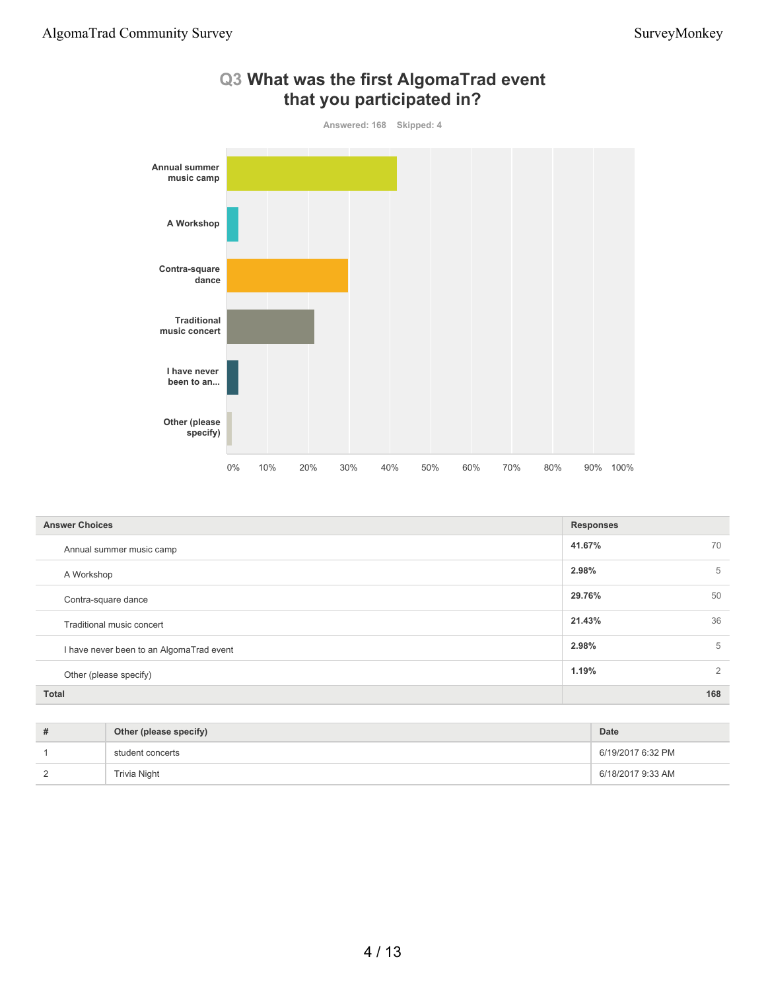

## **Q3 What was the first AlgomaTrad event that you participated in?**

| <b>Answer Choices</b>                    | <b>Responses</b> |   |
|------------------------------------------|------------------|---|
| Annual summer music camp                 | 41.67%<br>70     |   |
| A Workshop                               | 2.98%            | 5 |
| Contra-square dance                      | 29.76%<br>50     |   |
| Traditional music concert                | 21.43%<br>36     |   |
| I have never been to an AlgomaTrad event | 2.98%            | 5 |
| Other (please specify)                   | 1.19%            | 2 |
| <b>Total</b>                             | 168              |   |

| Other (please specify) | Date              |
|------------------------|-------------------|
| student concerts       | 6/19/2017 6:32 PM |
| Trivia Night           | 6/18/2017 9:33 AM |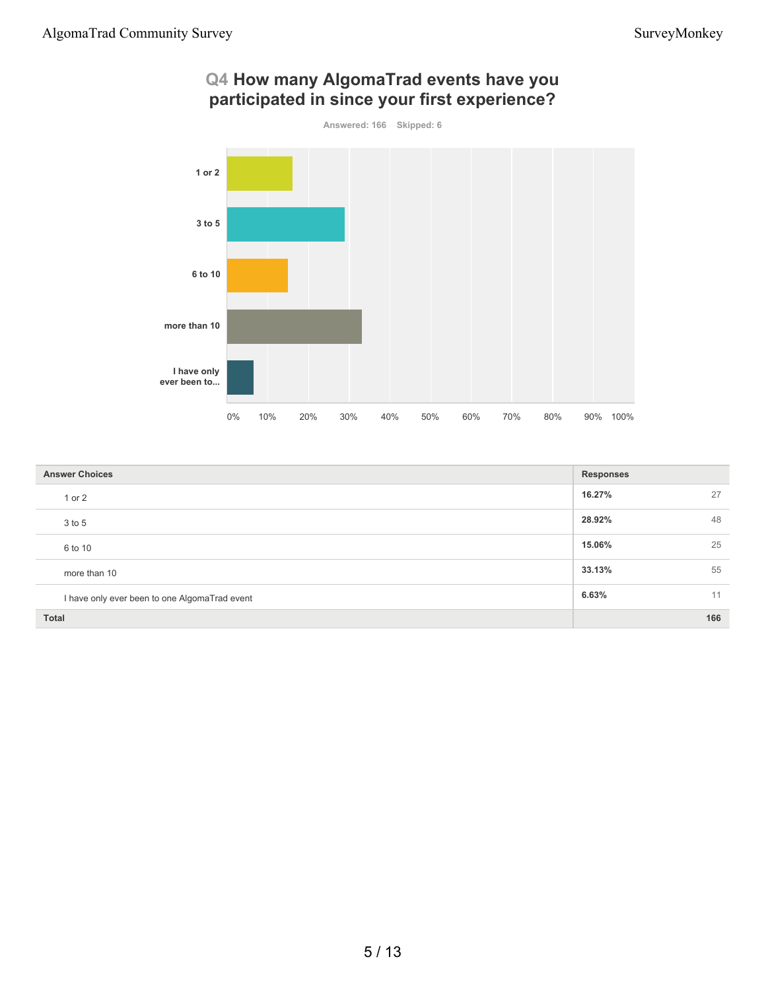## **Q4 How many AlgomaTrad events have you participated in since your first experience?**



| <b>Answer Choices</b>                         | <b>Responses</b> |  |
|-----------------------------------------------|------------------|--|
| 1 or 2                                        | 16.27%<br>27     |  |
| 3 to 5                                        | 28.92%<br>48     |  |
| 6 to 10                                       | 25<br>15.06%     |  |
| more than 10                                  | 33.13%<br>55     |  |
| I have only ever been to one AlgomaTrad event | 6.63%<br>11      |  |
| <b>Total</b>                                  | 166              |  |

### 5 / 13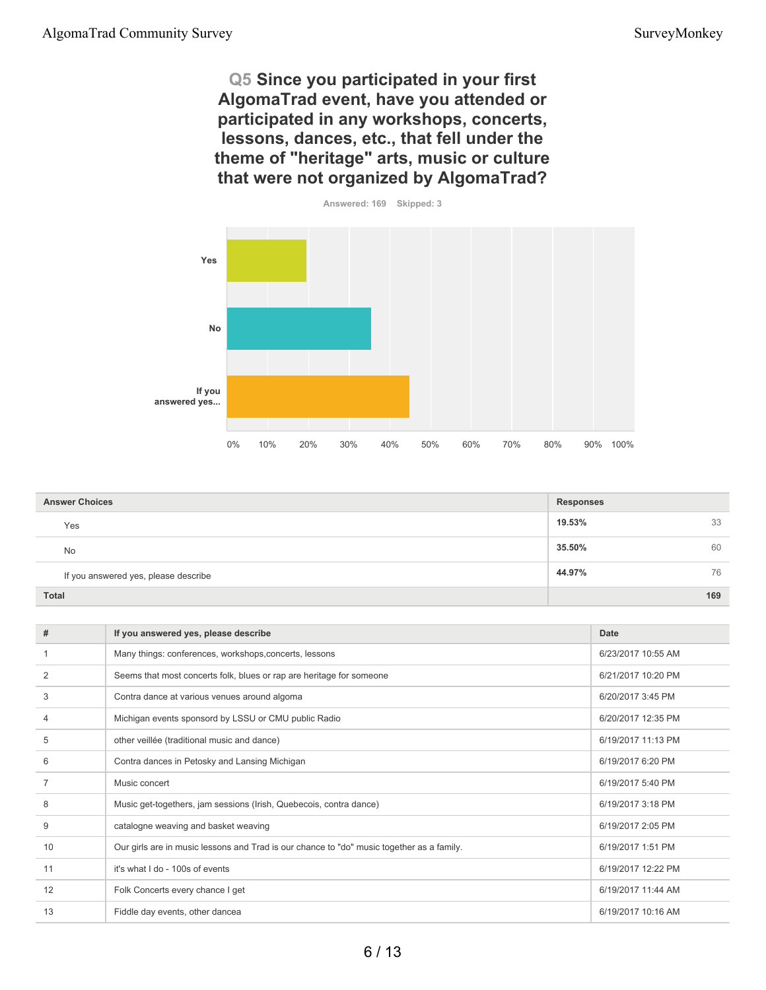**Q5 Since you participated in your first AlgomaTrad event, have you attended or participated in any workshops, concerts, lessons, dances, etc., that fell under the theme of "heritage" arts, music or culture that were not organized by AlgomaTrad?**



| <b>Answer Choices</b>                | <b>Responses</b> |     |
|--------------------------------------|------------------|-----|
| Yes                                  | 19.53%           | 33  |
| <b>No</b>                            | 35.50%           | 60  |
| If you answered yes, please describe | 44.97%           | 76  |
| <b>Total</b>                         |                  | 169 |

| #              | If you answered yes, please describe                                                      | Date               |
|----------------|-------------------------------------------------------------------------------------------|--------------------|
|                | Many things: conferences, workshops, concerts, lessons                                    | 6/23/2017 10:55 AM |
| 2              | Seems that most concerts folk, blues or rap are heritage for someone                      | 6/21/2017 10:20 PM |
| 3              | Contra dance at various venues around algoma                                              | 6/20/2017 3:45 PM  |
| $\overline{4}$ | Michigan events sponsord by LSSU or CMU public Radio                                      | 6/20/2017 12:35 PM |
| 5              | other veillée (traditional music and dance)                                               | 6/19/2017 11:13 PM |
| 6              | Contra dances in Petosky and Lansing Michigan                                             | 6/19/2017 6:20 PM  |
| $\overline{7}$ | Music concert                                                                             | 6/19/2017 5:40 PM  |
| 8              | Music get-togethers, jam sessions (Irish, Quebecois, contra dance)                        | 6/19/2017 3:18 PM  |
| 9              | catalogne weaving and basket weaving                                                      | 6/19/2017 2:05 PM  |
| 10             | Our girls are in music lessons and Trad is our chance to "do" music together as a family. | 6/19/2017 1:51 PM  |
| 11             | it's what I do - 100s of events                                                           | 6/19/2017 12:22 PM |
| 12             | Folk Concerts every chance I get                                                          | 6/19/2017 11:44 AM |
| 13             | Fiddle day events, other dancea                                                           | 6/19/2017 10:16 AM |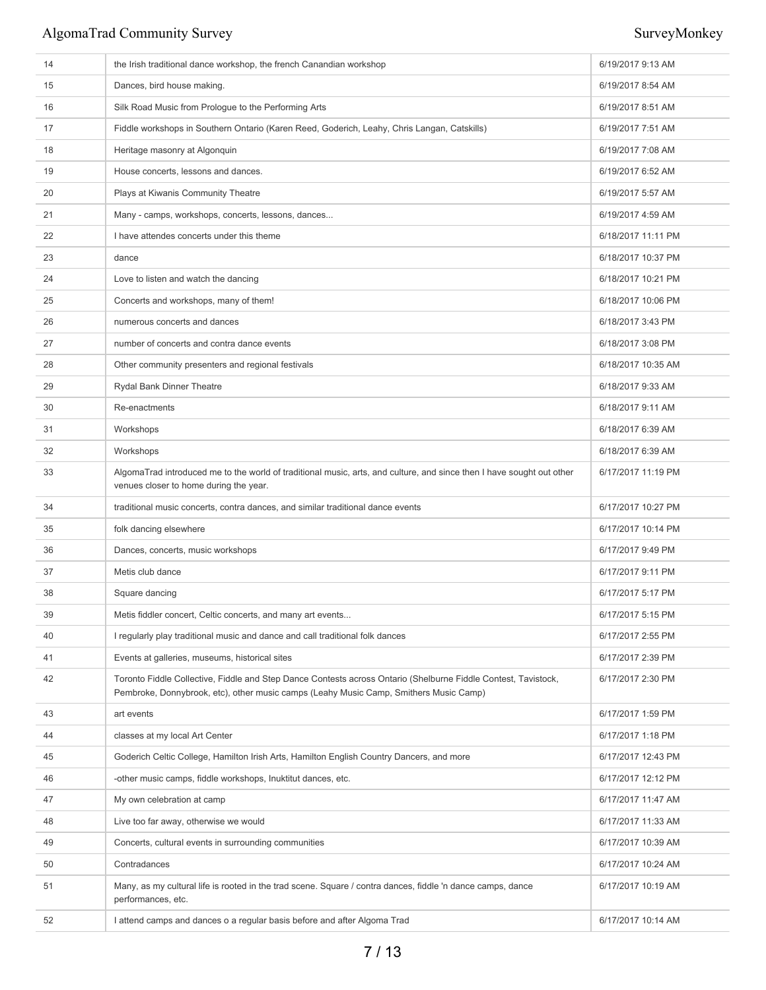| 14 | the Irish traditional dance workshop, the french Canandian workshop                                                                                                                                     | 6/19/2017 9:13 AM  |
|----|---------------------------------------------------------------------------------------------------------------------------------------------------------------------------------------------------------|--------------------|
| 15 | Dances, bird house making.                                                                                                                                                                              | 6/19/2017 8:54 AM  |
| 16 | Silk Road Music from Prologue to the Performing Arts                                                                                                                                                    | 6/19/2017 8:51 AM  |
| 17 | Fiddle workshops in Southern Ontario (Karen Reed, Goderich, Leahy, Chris Langan, Catskills)                                                                                                             | 6/19/2017 7:51 AM  |
| 18 | Heritage masonry at Algonquin                                                                                                                                                                           | 6/19/2017 7:08 AM  |
| 19 | House concerts, lessons and dances.                                                                                                                                                                     | 6/19/2017 6:52 AM  |
| 20 | Plays at Kiwanis Community Theatre                                                                                                                                                                      | 6/19/2017 5:57 AM  |
| 21 | Many - camps, workshops, concerts, lessons, dances                                                                                                                                                      | 6/19/2017 4:59 AM  |
| 22 | I have attendes concerts under this theme                                                                                                                                                               | 6/18/2017 11:11 PM |
| 23 | dance                                                                                                                                                                                                   | 6/18/2017 10:37 PM |
| 24 | Love to listen and watch the dancing                                                                                                                                                                    | 6/18/2017 10:21 PM |
| 25 | Concerts and workshops, many of them!                                                                                                                                                                   | 6/18/2017 10:06 PM |
| 26 | numerous concerts and dances                                                                                                                                                                            | 6/18/2017 3:43 PM  |
| 27 | number of concerts and contra dance events                                                                                                                                                              | 6/18/2017 3:08 PM  |
| 28 | Other community presenters and regional festivals                                                                                                                                                       | 6/18/2017 10:35 AM |
| 29 | <b>Rydal Bank Dinner Theatre</b>                                                                                                                                                                        | 6/18/2017 9:33 AM  |
| 30 | Re-enactments                                                                                                                                                                                           | 6/18/2017 9:11 AM  |
| 31 | Workshops                                                                                                                                                                                               | 6/18/2017 6:39 AM  |
| 32 | Workshops                                                                                                                                                                                               | 6/18/2017 6:39 AM  |
| 33 | AlgomaTrad introduced me to the world of traditional music, arts, and culture, and since then I have sought out other<br>venues closer to home during the year.                                         | 6/17/2017 11:19 PM |
| 34 | traditional music concerts, contra dances, and similar traditional dance events                                                                                                                         | 6/17/2017 10:27 PM |
| 35 | folk dancing elsewhere                                                                                                                                                                                  | 6/17/2017 10:14 PM |
| 36 | Dances, concerts, music workshops                                                                                                                                                                       | 6/17/2017 9:49 PM  |
| 37 | Metis club dance                                                                                                                                                                                        | 6/17/2017 9:11 PM  |
| 38 | Square dancing                                                                                                                                                                                          | 6/17/2017 5:17 PM  |
| 39 | Metis fiddler concert, Celtic concerts, and many art events                                                                                                                                             | 6/17/2017 5:15 PM  |
| 40 | I regularly play traditional music and dance and call traditional folk dances                                                                                                                           | 6/17/2017 2:55 PM  |
| 41 | Events at galleries, museums, historical sites                                                                                                                                                          | 6/17/2017 2:39 PM  |
| 42 | Toronto Fiddle Collective, Fiddle and Step Dance Contests across Ontario (Shelburne Fiddle Contest, Tavistock,<br>Pembroke, Donnybrook, etc), other music camps (Leahy Music Camp, Smithers Music Camp) | 6/17/2017 2:30 PM  |
| 43 | art events                                                                                                                                                                                              | 6/17/2017 1:59 PM  |
| 44 | classes at my local Art Center                                                                                                                                                                          | 6/17/2017 1:18 PM  |
| 45 | Goderich Celtic College, Hamilton Irish Arts, Hamilton English Country Dancers, and more                                                                                                                | 6/17/2017 12:43 PM |
| 46 | -other music camps, fiddle workshops, Inuktitut dances, etc.                                                                                                                                            | 6/17/2017 12:12 PM |
| 47 | My own celebration at camp                                                                                                                                                                              | 6/17/2017 11:47 AM |
| 48 | Live too far away, otherwise we would                                                                                                                                                                   | 6/17/2017 11:33 AM |
| 49 | Concerts, cultural events in surrounding communities                                                                                                                                                    | 6/17/2017 10:39 AM |
| 50 | Contradances                                                                                                                                                                                            | 6/17/2017 10:24 AM |
| 51 | Many, as my cultural life is rooted in the trad scene. Square / contra dances, fiddle 'n dance camps, dance<br>performances, etc.                                                                       | 6/17/2017 10:19 AM |
| 52 | I attend camps and dances o a regular basis before and after Algoma Trad                                                                                                                                | 6/17/2017 10:14 AM |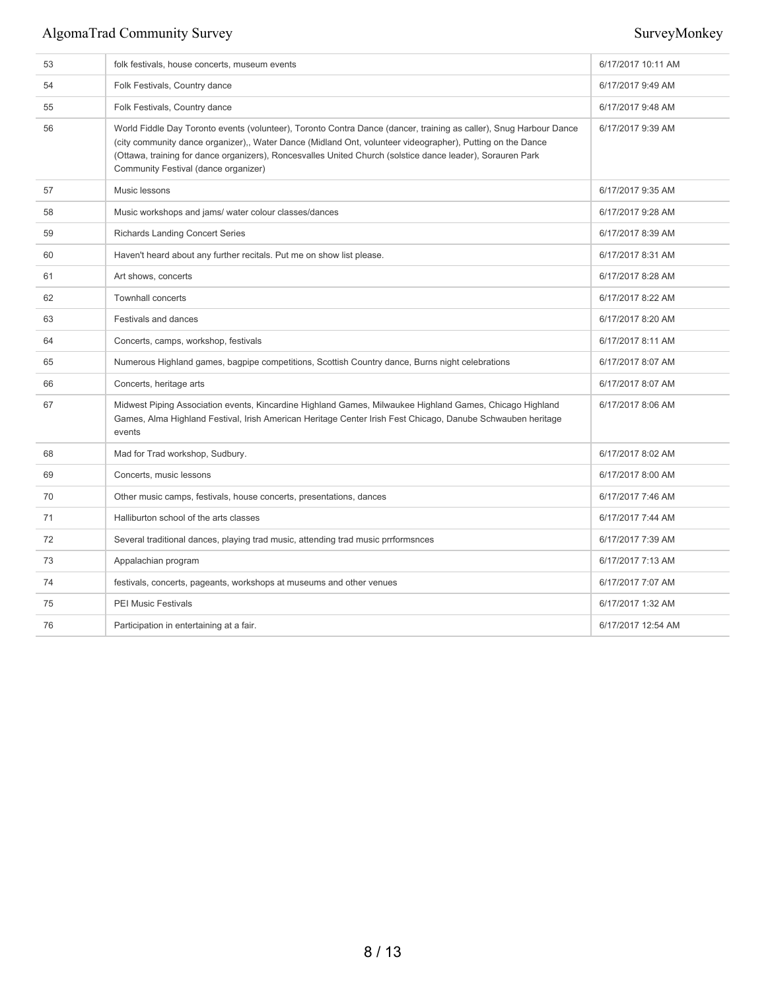| 53 | folk festivals, house concerts, museum events                                                                                                                                                                                                                                                                                                                                          | 6/17/2017 10:11 AM |
|----|----------------------------------------------------------------------------------------------------------------------------------------------------------------------------------------------------------------------------------------------------------------------------------------------------------------------------------------------------------------------------------------|--------------------|
| 54 | Folk Festivals, Country dance                                                                                                                                                                                                                                                                                                                                                          | 6/17/2017 9:49 AM  |
| 55 | Folk Festivals, Country dance                                                                                                                                                                                                                                                                                                                                                          | 6/17/2017 9:48 AM  |
| 56 | World Fiddle Day Toronto events (volunteer), Toronto Contra Dance (dancer, training as caller), Snug Harbour Dance<br>(city community dance organizer),, Water Dance (Midland Ont, volunteer videographer), Putting on the Dance<br>(Ottawa, training for dance organizers), Roncesvalles United Church (solstice dance leader), Sorauren Park<br>Community Festival (dance organizer) | 6/17/2017 9:39 AM  |
| 57 | Music lessons                                                                                                                                                                                                                                                                                                                                                                          | 6/17/2017 9:35 AM  |
| 58 | Music workshops and jams/ water colour classes/dances                                                                                                                                                                                                                                                                                                                                  | 6/17/2017 9:28 AM  |
| 59 | <b>Richards Landing Concert Series</b>                                                                                                                                                                                                                                                                                                                                                 | 6/17/2017 8:39 AM  |
| 60 | Haven't heard about any further recitals. Put me on show list please.                                                                                                                                                                                                                                                                                                                  | 6/17/2017 8:31 AM  |
| 61 | Art shows, concerts                                                                                                                                                                                                                                                                                                                                                                    | 6/17/2017 8:28 AM  |
| 62 | <b>Townhall concerts</b>                                                                                                                                                                                                                                                                                                                                                               | 6/17/2017 8:22 AM  |
| 63 | Festivals and dances                                                                                                                                                                                                                                                                                                                                                                   | 6/17/2017 8:20 AM  |
| 64 | Concerts, camps, workshop, festivals                                                                                                                                                                                                                                                                                                                                                   | 6/17/2017 8:11 AM  |
| 65 | Numerous Highland games, bagpipe competitions, Scottish Country dance, Burns night celebrations                                                                                                                                                                                                                                                                                        | 6/17/2017 8:07 AM  |
| 66 | Concerts, heritage arts                                                                                                                                                                                                                                                                                                                                                                | 6/17/2017 8:07 AM  |
| 67 | Midwest Piping Association events, Kincardine Highland Games, Milwaukee Highland Games, Chicago Highland<br>Games, Alma Highland Festival, Irish American Heritage Center Irish Fest Chicago, Danube Schwauben heritage<br>events                                                                                                                                                      | 6/17/2017 8:06 AM  |
| 68 | Mad for Trad workshop, Sudbury.                                                                                                                                                                                                                                                                                                                                                        | 6/17/2017 8:02 AM  |
| 69 | Concerts, music lessons                                                                                                                                                                                                                                                                                                                                                                | 6/17/2017 8:00 AM  |
| 70 | Other music camps, festivals, house concerts, presentations, dances                                                                                                                                                                                                                                                                                                                    | 6/17/2017 7:46 AM  |
| 71 | Halliburton school of the arts classes                                                                                                                                                                                                                                                                                                                                                 | 6/17/2017 7:44 AM  |
| 72 | Several traditional dances, playing trad music, attending trad music prrformsnces                                                                                                                                                                                                                                                                                                      | 6/17/2017 7:39 AM  |
| 73 | Appalachian program                                                                                                                                                                                                                                                                                                                                                                    | 6/17/2017 7:13 AM  |
| 74 | festivals, concerts, pageants, workshops at museums and other venues                                                                                                                                                                                                                                                                                                                   | 6/17/2017 7:07 AM  |
| 75 | <b>PEI Music Festivals</b>                                                                                                                                                                                                                                                                                                                                                             | 6/17/2017 1:32 AM  |
| 76 | Participation in entertaining at a fair.                                                                                                                                                                                                                                                                                                                                               | 6/17/2017 12:54 AM |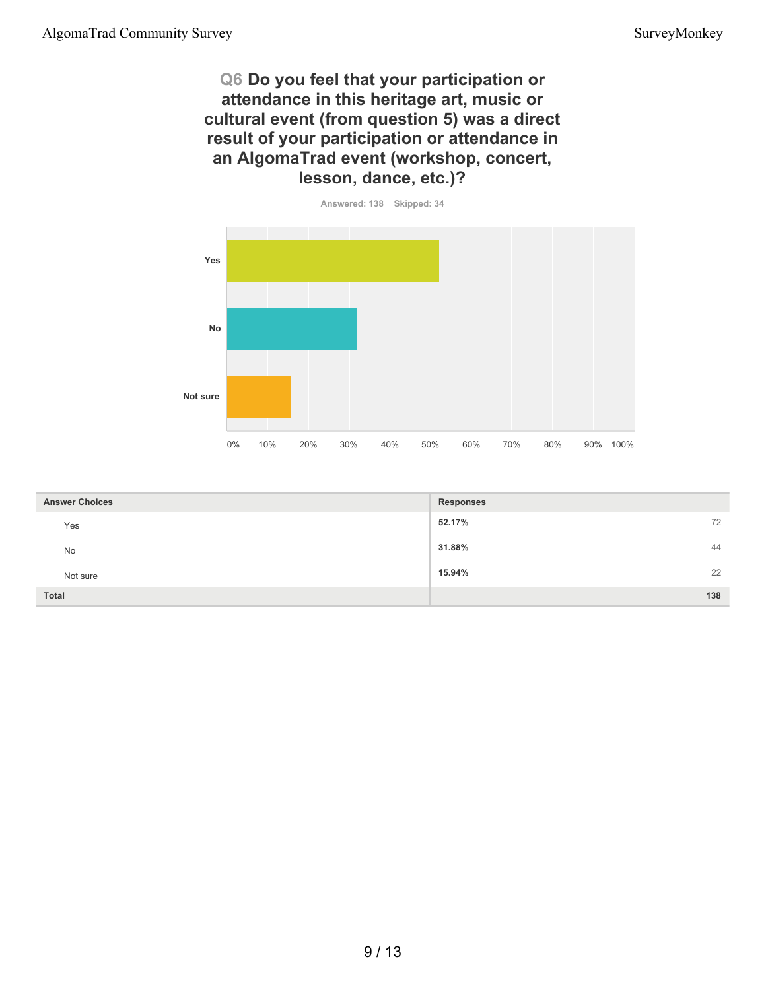**Q6 Do you feel that your participation or attendance in this heritage art, music or cultural event (from question 5) was a direct result of your participation or attendance in an AlgomaTrad event (workshop, concert, lesson, dance, etc.)?**



| <b>Answer Choices</b> | <b>Responses</b> |
|-----------------------|------------------|
| Yes                   | 52.17%<br>72     |
| No                    | 31.88%<br>44     |
| Not sure              | 15.94%<br>22     |
| Total                 | 138              |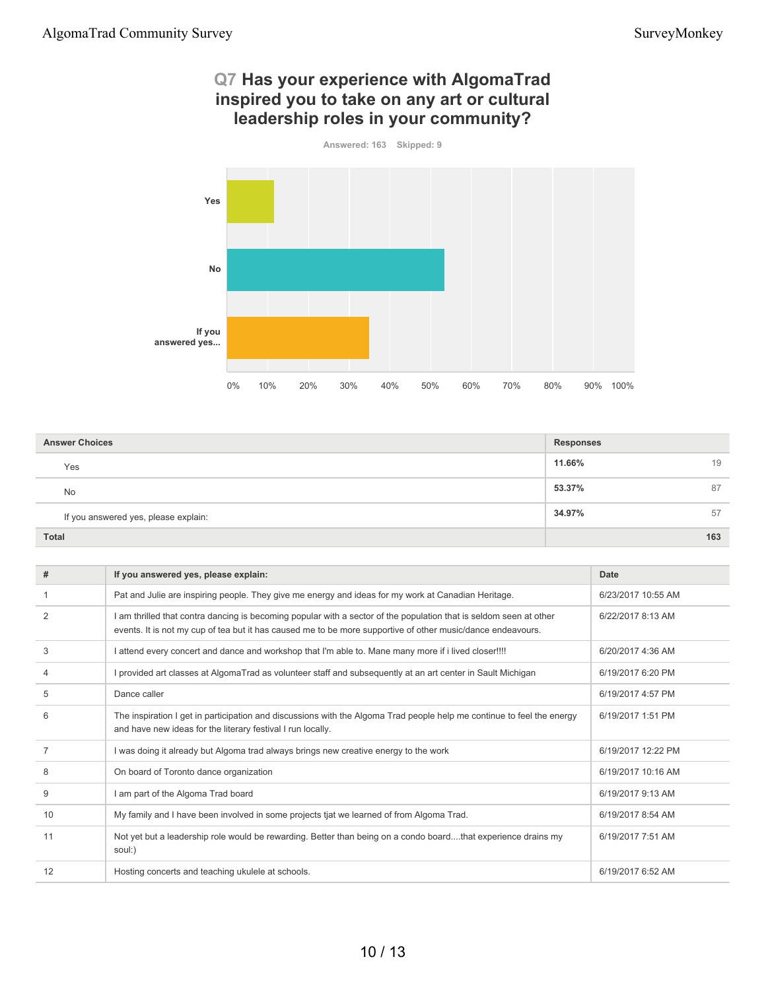### **Q7 Has your experience with AlgomaTrad inspired you to take on any art or cultural leadership roles in your community?**



| <b>Answer Choices</b> |                                      | <b>Responses</b> |     |
|-----------------------|--------------------------------------|------------------|-----|
|                       | Yes                                  | 11.66%           | 19  |
|                       | <b>No</b>                            | 53.37%           | 87  |
|                       | If you answered yes, please explain: | 34.97%           | 57  |
| <b>Total</b>          |                                      |                  | 163 |

| #              | If you answered yes, please explain:                                                                                                                                                                                            | Date               |
|----------------|---------------------------------------------------------------------------------------------------------------------------------------------------------------------------------------------------------------------------------|--------------------|
|                | Pat and Julie are inspiring people. They give me energy and ideas for my work at Canadian Heritage.                                                                                                                             | 6/23/2017 10:55 AM |
| $\overline{2}$ | am thrilled that contra dancing is becoming popular with a sector of the population that is seldom seen at other<br>events. It is not my cup of tea but it has caused me to be more supportive of other music/dance endeavours. | 6/22/2017 8:13 AM  |
| 3              | attend every concert and dance and workshop that I'm able to. Mane many more if i lived closer!!!!                                                                                                                              | 6/20/2017 4:36 AM  |
| 4              | provided art classes at AlgomaTrad as volunteer staff and subsequently at an art center in Sault Michigan                                                                                                                       | 6/19/2017 6:20 PM  |
| 5              | Dance caller                                                                                                                                                                                                                    | 6/19/2017 4:57 PM  |
| 6              | The inspiration I get in participation and discussions with the Algoma Trad people help me continue to feel the energy<br>and have new ideas for the literary festival I run locally.                                           | 6/19/2017 1:51 PM  |
|                | I was doing it already but Algoma trad always brings new creative energy to the work                                                                                                                                            | 6/19/2017 12:22 PM |
| 8              | On board of Toronto dance organization                                                                                                                                                                                          | 6/19/2017 10:16 AM |
| 9              | am part of the Algoma Trad board                                                                                                                                                                                                | 6/19/2017 9:13 AM  |
| 10             | My family and I have been involved in some projects tjat we learned of from Algoma Trad.                                                                                                                                        | 6/19/2017 8:54 AM  |
| 11             | Not yet but a leadership role would be rewarding. Better than being on a condo boardthat experience drains my<br>soul:)                                                                                                         | 6/19/2017 7:51 AM  |
| 12             | Hosting concerts and teaching ukulele at schools.                                                                                                                                                                               | 6/19/2017 6:52 AM  |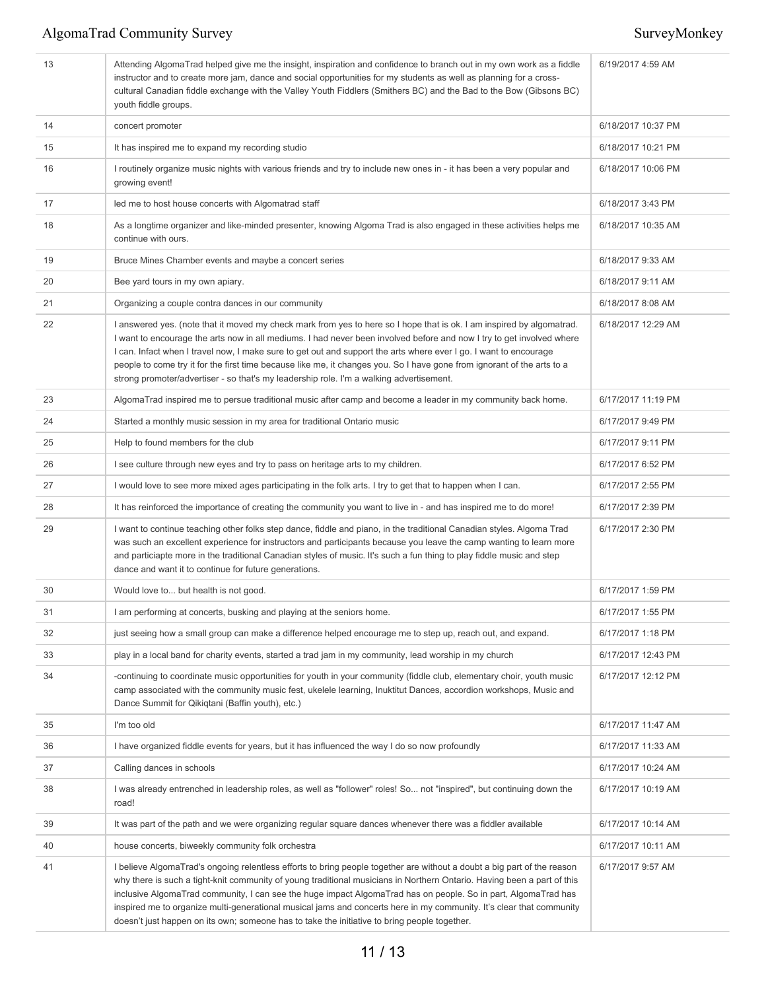| 13 | Attending AlgomaTrad helped give me the insight, inspiration and confidence to branch out in my own work as a fiddle<br>instructor and to create more jam, dance and social opportunities for my students as well as planning for a cross-<br>cultural Canadian fiddle exchange with the Valley Youth Fiddlers (Smithers BC) and the Bad to the Bow (Gibsons BC)<br>youth fiddle groups.                                                                                                                                                                                                     | 6/19/2017 4:59 AM  |
|----|----------------------------------------------------------------------------------------------------------------------------------------------------------------------------------------------------------------------------------------------------------------------------------------------------------------------------------------------------------------------------------------------------------------------------------------------------------------------------------------------------------------------------------------------------------------------------------------------|--------------------|
| 14 | concert promoter                                                                                                                                                                                                                                                                                                                                                                                                                                                                                                                                                                             | 6/18/2017 10:37 PM |
| 15 | It has inspired me to expand my recording studio                                                                                                                                                                                                                                                                                                                                                                                                                                                                                                                                             | 6/18/2017 10:21 PM |
| 16 | I routinely organize music nights with various friends and try to include new ones in - it has been a very popular and<br>growing event!                                                                                                                                                                                                                                                                                                                                                                                                                                                     | 6/18/2017 10:06 PM |
| 17 | led me to host house concerts with Algomatrad staff                                                                                                                                                                                                                                                                                                                                                                                                                                                                                                                                          | 6/18/2017 3:43 PM  |
| 18 | As a longtime organizer and like-minded presenter, knowing Algoma Trad is also engaged in these activities helps me<br>continue with ours.                                                                                                                                                                                                                                                                                                                                                                                                                                                   | 6/18/2017 10:35 AM |
| 19 | Bruce Mines Chamber events and maybe a concert series                                                                                                                                                                                                                                                                                                                                                                                                                                                                                                                                        | 6/18/2017 9:33 AM  |
| 20 | Bee yard tours in my own apiary.                                                                                                                                                                                                                                                                                                                                                                                                                                                                                                                                                             | 6/18/2017 9:11 AM  |
| 21 | Organizing a couple contra dances in our community                                                                                                                                                                                                                                                                                                                                                                                                                                                                                                                                           | 6/18/2017 8:08 AM  |
| 22 | I answered yes. (note that it moved my check mark from yes to here so I hope that is ok. I am inspired by algomatrad.<br>I want to encourage the arts now in all mediums. I had never been involved before and now I try to get involved where<br>I can. Infact when I travel now, I make sure to get out and support the arts where ever I go. I want to encourage<br>people to come try it for the first time because like me, it changes you. So I have gone from ignorant of the arts to a<br>strong promoter/advertiser - so that's my leadership role. I'm a walking advertisement.    | 6/18/2017 12:29 AM |
| 23 | AlgomaTrad inspired me to persue traditional music after camp and become a leader in my community back home.                                                                                                                                                                                                                                                                                                                                                                                                                                                                                 | 6/17/2017 11:19 PM |
| 24 | Started a monthly music session in my area for traditional Ontario music                                                                                                                                                                                                                                                                                                                                                                                                                                                                                                                     | 6/17/2017 9:49 PM  |
| 25 | Help to found members for the club                                                                                                                                                                                                                                                                                                                                                                                                                                                                                                                                                           | 6/17/2017 9:11 PM  |
| 26 | I see culture through new eyes and try to pass on heritage arts to my children.                                                                                                                                                                                                                                                                                                                                                                                                                                                                                                              | 6/17/2017 6:52 PM  |
| 27 | I would love to see more mixed ages participating in the folk arts. I try to get that to happen when I can.                                                                                                                                                                                                                                                                                                                                                                                                                                                                                  | 6/17/2017 2:55 PM  |
| 28 | It has reinforced the importance of creating the community you want to live in - and has inspired me to do more!                                                                                                                                                                                                                                                                                                                                                                                                                                                                             | 6/17/2017 2:39 PM  |
| 29 | I want to continue teaching other folks step dance, fiddle and piano, in the traditional Canadian styles. Algoma Trad<br>was such an excellent experience for instructors and participants because you leave the camp wanting to learn more<br>and particiapte more in the traditional Canadian styles of music. It's such a fun thing to play fiddle music and step<br>dance and want it to continue for future generations.                                                                                                                                                                | 6/17/2017 2:30 PM  |
| 30 | Would love to but health is not good.                                                                                                                                                                                                                                                                                                                                                                                                                                                                                                                                                        | 6/17/2017 1:59 PM  |
| 31 | I am performing at concerts, busking and playing at the seniors home.                                                                                                                                                                                                                                                                                                                                                                                                                                                                                                                        | 6/17/2017 1:55 PM  |
| 32 | just seeing how a small group can make a difference helped encourage me to step up, reach out, and expand.                                                                                                                                                                                                                                                                                                                                                                                                                                                                                   | 6/17/2017 1:18 PM  |
| 33 | play in a local band for charity events, started a trad jam in my community, lead worship in my church                                                                                                                                                                                                                                                                                                                                                                                                                                                                                       | 6/17/2017 12:43 PM |
| 34 | -continuing to coordinate music opportunities for youth in your community (fiddle club, elementary choir, youth music<br>camp associated with the community music fest, ukelele learning, Inuktitut Dances, accordion workshops, Music and<br>Dance Summit for Qikiqtani (Baffin youth), etc.)                                                                                                                                                                                                                                                                                               | 6/17/2017 12:12 PM |
| 35 | I'm too old                                                                                                                                                                                                                                                                                                                                                                                                                                                                                                                                                                                  | 6/17/2017 11:47 AM |
| 36 | I have organized fiddle events for years, but it has influenced the way I do so now profoundly                                                                                                                                                                                                                                                                                                                                                                                                                                                                                               | 6/17/2017 11:33 AM |
| 37 | Calling dances in schools                                                                                                                                                                                                                                                                                                                                                                                                                                                                                                                                                                    | 6/17/2017 10:24 AM |
| 38 | I was already entrenched in leadership roles, as well as "follower" roles! So not "inspired", but continuing down the<br>road!                                                                                                                                                                                                                                                                                                                                                                                                                                                               | 6/17/2017 10:19 AM |
| 39 | It was part of the path and we were organizing regular square dances whenever there was a fiddler available                                                                                                                                                                                                                                                                                                                                                                                                                                                                                  | 6/17/2017 10:14 AM |
| 40 | house concerts, biweekly community folk orchestra                                                                                                                                                                                                                                                                                                                                                                                                                                                                                                                                            | 6/17/2017 10:11 AM |
| 41 | I believe AlgomaTrad's ongoing relentless efforts to bring people together are without a doubt a big part of the reason<br>why there is such a tight-knit community of young traditional musicians in Northern Ontario. Having been a part of this<br>inclusive AlgomaTrad community, I can see the huge impact AlgomaTrad has on people. So in part, AlgomaTrad has<br>inspired me to organize multi-generational musical jams and concerts here in my community. It's clear that community<br>doesn't just happen on its own; someone has to take the initiative to bring people together. | 6/17/2017 9:57 AM  |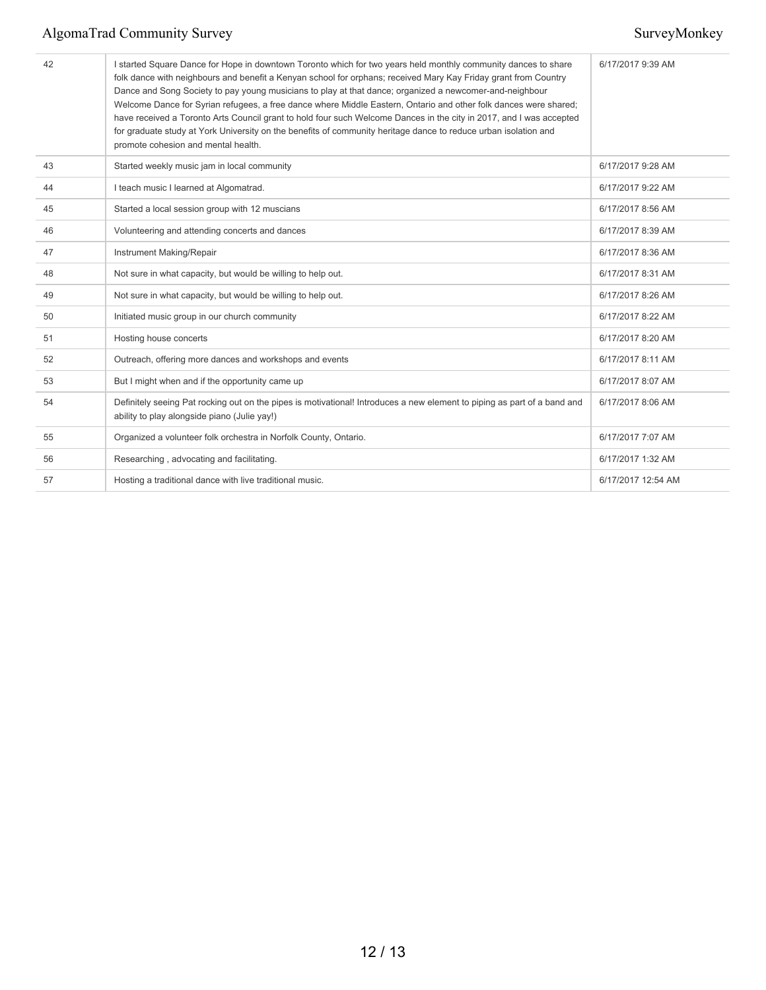| 42 | I started Square Dance for Hope in downtown Toronto which for two years held monthly community dances to share<br>folk dance with neighbours and benefit a Kenyan school for orphans; received Mary Kay Friday grant from Country<br>Dance and Song Society to pay young musicians to play at that dance; organized a newcomer-and-neighbour<br>Welcome Dance for Syrian refugees, a free dance where Middle Eastern, Ontario and other folk dances were shared;<br>have received a Toronto Arts Council grant to hold four such Welcome Dances in the city in 2017, and I was accepted<br>for graduate study at York University on the benefits of community heritage dance to reduce urban isolation and<br>promote cohesion and mental health. | 6/17/2017 9:39 AM  |
|----|---------------------------------------------------------------------------------------------------------------------------------------------------------------------------------------------------------------------------------------------------------------------------------------------------------------------------------------------------------------------------------------------------------------------------------------------------------------------------------------------------------------------------------------------------------------------------------------------------------------------------------------------------------------------------------------------------------------------------------------------------|--------------------|
| 43 | Started weekly music jam in local community                                                                                                                                                                                                                                                                                                                                                                                                                                                                                                                                                                                                                                                                                                       | 6/17/2017 9:28 AM  |
| 44 | I teach music I learned at Algomatrad.                                                                                                                                                                                                                                                                                                                                                                                                                                                                                                                                                                                                                                                                                                            | 6/17/2017 9:22 AM  |
| 45 | Started a local session group with 12 muscians                                                                                                                                                                                                                                                                                                                                                                                                                                                                                                                                                                                                                                                                                                    | 6/17/2017 8:56 AM  |
| 46 | Volunteering and attending concerts and dances                                                                                                                                                                                                                                                                                                                                                                                                                                                                                                                                                                                                                                                                                                    | 6/17/2017 8:39 AM  |
| 47 | Instrument Making/Repair                                                                                                                                                                                                                                                                                                                                                                                                                                                                                                                                                                                                                                                                                                                          | 6/17/2017 8:36 AM  |
| 48 | Not sure in what capacity, but would be willing to help out.                                                                                                                                                                                                                                                                                                                                                                                                                                                                                                                                                                                                                                                                                      | 6/17/2017 8:31 AM  |
| 49 | Not sure in what capacity, but would be willing to help out.                                                                                                                                                                                                                                                                                                                                                                                                                                                                                                                                                                                                                                                                                      | 6/17/2017 8:26 AM  |
| 50 | Initiated music group in our church community                                                                                                                                                                                                                                                                                                                                                                                                                                                                                                                                                                                                                                                                                                     | 6/17/2017 8:22 AM  |
| 51 | Hosting house concerts                                                                                                                                                                                                                                                                                                                                                                                                                                                                                                                                                                                                                                                                                                                            | 6/17/2017 8:20 AM  |
| 52 | Outreach, offering more dances and workshops and events                                                                                                                                                                                                                                                                                                                                                                                                                                                                                                                                                                                                                                                                                           | 6/17/2017 8:11 AM  |
| 53 | But I might when and if the opportunity came up                                                                                                                                                                                                                                                                                                                                                                                                                                                                                                                                                                                                                                                                                                   | 6/17/2017 8:07 AM  |
| 54 | Definitely seeing Pat rocking out on the pipes is motivational! Introduces a new element to piping as part of a band and<br>ability to play alongside piano (Julie yay!)                                                                                                                                                                                                                                                                                                                                                                                                                                                                                                                                                                          | 6/17/2017 8:06 AM  |
| 55 | Organized a volunteer folk orchestra in Norfolk County, Ontario.                                                                                                                                                                                                                                                                                                                                                                                                                                                                                                                                                                                                                                                                                  | 6/17/2017 7:07 AM  |
| 56 | Researching, advocating and facilitating.                                                                                                                                                                                                                                                                                                                                                                                                                                                                                                                                                                                                                                                                                                         | 6/17/2017 1:32 AM  |
| 57 | Hosting a traditional dance with live traditional music.                                                                                                                                                                                                                                                                                                                                                                                                                                                                                                                                                                                                                                                                                          | 6/17/2017 12:54 AM |